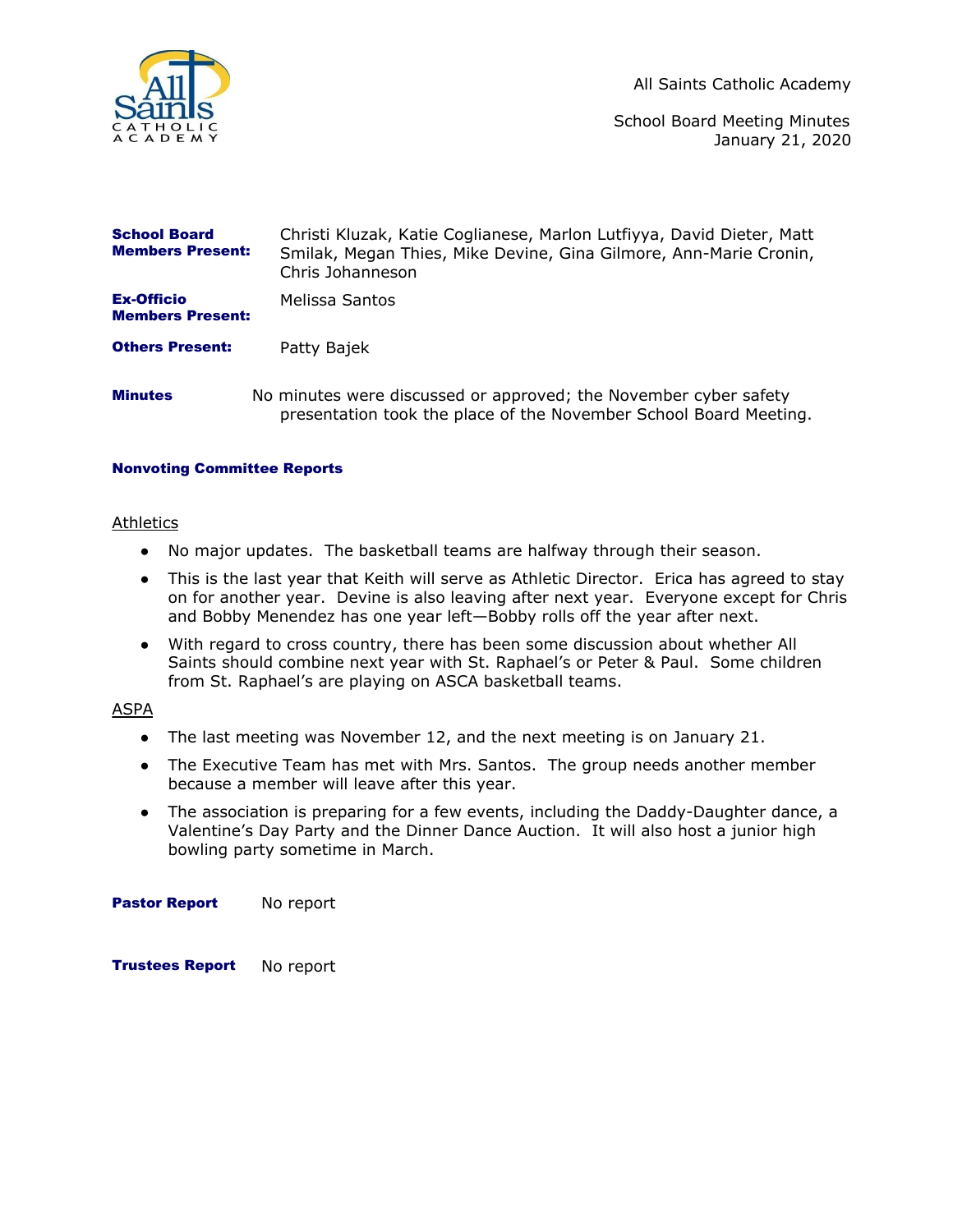

All Saints Catholic Academy

School Board Meeting Minutes January 21, 2020

| <b>School Board</b><br><b>Members Present:</b> | Christi Kluzak, Katie Coglianese, Marlon Lutfiyya, David Dieter, Matt<br>Smilak, Megan Thies, Mike Devine, Gina Gilmore, Ann-Marie Cronin,<br>Chris Johanneson |
|------------------------------------------------|----------------------------------------------------------------------------------------------------------------------------------------------------------------|
| <b>Ex-Officio</b><br><b>Members Present:</b>   | Melissa Santos                                                                                                                                                 |
| <b>Others Present:</b>                         | Patty Bajek                                                                                                                                                    |
| <b>Minutes</b>                                 | No minutes were discussed or approved; the November cyber safety<br>presentation took the place of the November School Board Meeting.                          |

### Nonvoting Committee Reports

#### Athletics

- No major updates. The basketball teams are halfway through their season.
- This is the last year that Keith will serve as Athletic Director. Erica has agreed to stay on for another year. Devine is also leaving after next year. Everyone except for Chris and Bobby Menendez has one year left—Bobby rolls off the year after next.
- With regard to cross country, there has been some discussion about whether All Saints should combine next year with St. Raphael's or Peter & Paul. Some children from St. Raphael's are playing on ASCA basketball teams.

# ASPA

- The last meeting was November 12, and the next meeting is on January 21.
- The Executive Team has met with Mrs. Santos. The group needs another member because a member will leave after this year.
- The association is preparing for a few events, including the Daddy-Daughter dance, a Valentine's Day Party and the Dinner Dance Auction. It will also host a junior high bowling party sometime in March.

Pastor Report No report

Trustees Report No report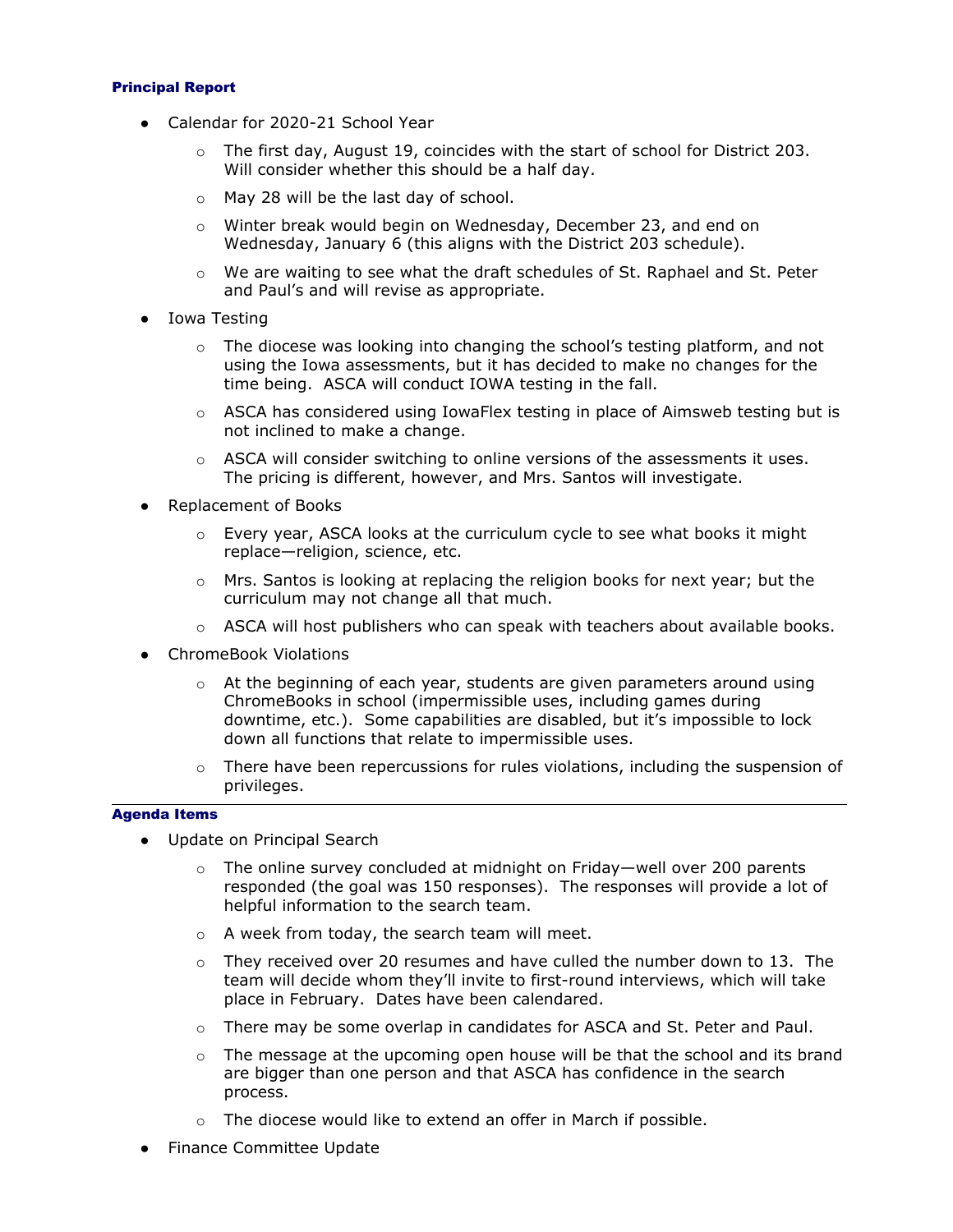### Principal Report

- Calendar for 2020-21 School Year
	- $\circ$  The first day, August 19, coincides with the start of school for District 203. Will consider whether this should be a half day.
	- o May 28 will be the last day of school.
	- o Winter break would begin on Wednesday, December 23, and end on Wednesday, January 6 (this aligns with the District 203 schedule).
	- $\circ$  We are waiting to see what the draft schedules of St. Raphael and St. Peter and Paul's and will revise as appropriate.
- Iowa Testing
	- $\circ$  The diocese was looking into changing the school's testing platform, and not using the Iowa assessments, but it has decided to make no changes for the time being. ASCA will conduct IOWA testing in the fall.
	- $\circ$  ASCA has considered using IowaFlex testing in place of Aimsweb testing but is not inclined to make a change.
	- $\circ$  ASCA will consider switching to online versions of the assessments it uses. The pricing is different, however, and Mrs. Santos will investigate.
- Replacement of Books
	- $\circ$  Every year, ASCA looks at the curriculum cycle to see what books it might replace—religion, science, etc.
	- o Mrs. Santos is looking at replacing the religion books for next year; but the curriculum may not change all that much.
	- $\circ$  ASCA will host publishers who can speak with teachers about available books.
- ChromeBook Violations
	- $\circ$  At the beginning of each year, students are given parameters around using ChromeBooks in school (impermissible uses, including games during downtime, etc.). Some capabilities are disabled, but it's impossible to lock down all functions that relate to impermissible uses.
	- $\circ$  There have been repercussions for rules violations, including the suspension of privileges.

## Agenda Items

- Update on Principal Search
	- $\circ$  The online survey concluded at midnight on Friday—well over 200 parents responded (the goal was 150 responses). The responses will provide a lot of helpful information to the search team.
	- o A week from today, the search team will meet.
	- $\circ$  They received over 20 resumes and have culled the number down to 13. The team will decide whom they'll invite to first-round interviews, which will take place in February. Dates have been calendared.
	- $\circ$  There may be some overlap in candidates for ASCA and St. Peter and Paul.
	- $\circ$  The message at the upcoming open house will be that the school and its brand are bigger than one person and that ASCA has confidence in the search process.
	- o The diocese would like to extend an offer in March if possible.
- Finance Committee Update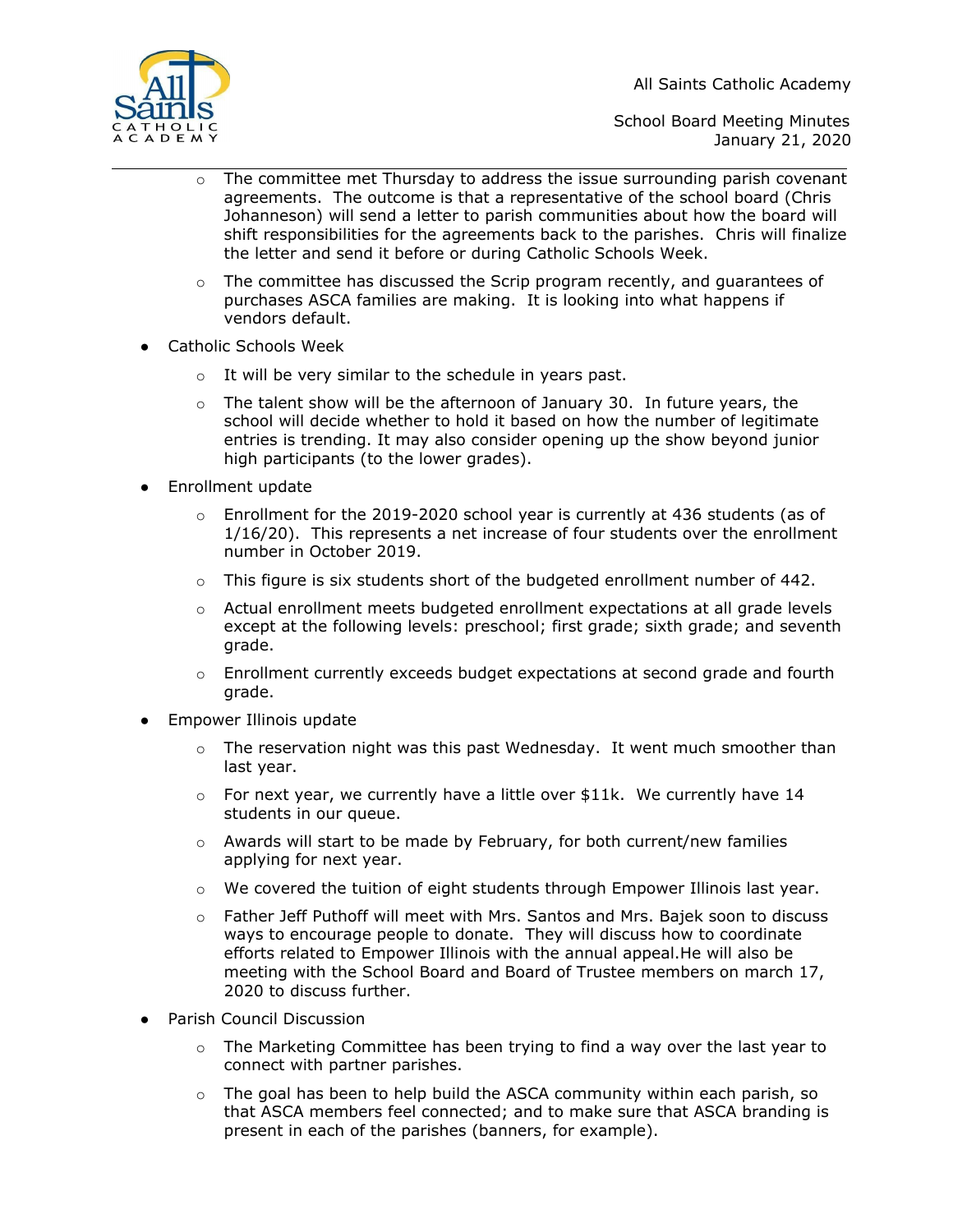All Saints Catholic Academy



School Board Meeting Minutes January 21, 2020

- o The committee met Thursday to address the issue surrounding parish covenant agreements. The outcome is that a representative of the school board (Chris Johanneson) will send a letter to parish communities about how the board will shift responsibilities for the agreements back to the parishes. Chris will finalize the letter and send it before or during Catholic Schools Week.
- o The committee has discussed the Scrip program recently, and guarantees of purchases ASCA families are making. It is looking into what happens if vendors default.
- Catholic Schools Week
	- o It will be very similar to the schedule in years past.
	- $\circ$  The talent show will be the afternoon of January 30. In future years, the school will decide whether to hold it based on how the number of legitimate entries is trending. It may also consider opening up the show beyond junior high participants (to the lower grades).
- Enrollment update
	- $\circ$  Enrollment for the 2019-2020 school year is currently at 436 students (as of 1/16/20). This represents a net increase of four students over the enrollment number in October 2019.
	- $\circ$  This figure is six students short of the budgeted enrollment number of 442.
	- $\circ$  Actual enrollment meets budgeted enrollment expectations at all grade levels except at the following levels: preschool; first grade; sixth grade; and seventh grade.
	- $\circ$  Enrollment currently exceeds budget expectations at second grade and fourth grade.
- Empower Illinois update
	- $\circ$  The reservation night was this past Wednesday. It went much smoother than last year.
	- o For next year, we currently have a little over \$11k. We currently have 14 students in our queue.
	- $\circ$  Awards will start to be made by February, for both current/new families applying for next year.
	- o We covered the tuition of eight students through Empower Illinois last year.
	- o Father Jeff Puthoff will meet with Mrs. Santos and Mrs. Bajek soon to discuss ways to encourage people to donate. They will discuss how to coordinate efforts related to Empower Illinois with the annual appeal.He will also be meeting with the School Board and Board of Trustee members on march 17, 2020 to discuss further.
- Parish Council Discussion
	- $\circ$  The Marketing Committee has been trying to find a way over the last year to connect with partner parishes.
	- $\circ$  The goal has been to help build the ASCA community within each parish, so that ASCA members feel connected; and to make sure that ASCA branding is present in each of the parishes (banners, for example).